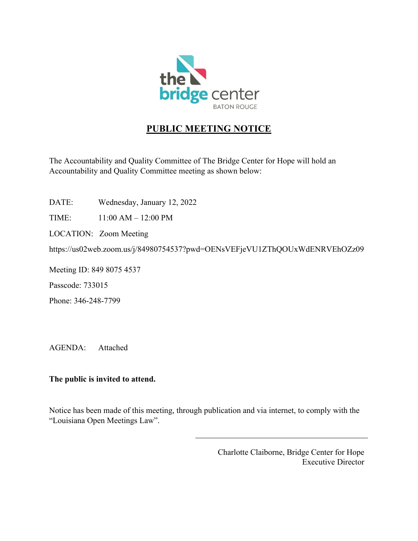

# **PUBLIC MEETING NOTICE**

The Accountability and Quality Committee of The Bridge Center for Hope will hold an Accountability and Quality Committee meeting as shown below:

DATE: Wednesday, January 12, 2022

TIME: 11:00 AM – 12:00 PM

LOCATION: Zoom Meeting

https://us02web.zoom.us/j/84980754537?pwd=OENsVEFjeVU1ZThQOUxWdENRVEhOZz09

Meeting ID: 849 8075 4537

Passcode: 733015

Phone: 346-248-7799

AGENDA: Attached

## **The public is invited to attend.**

Notice has been made of this meeting, through publication and via internet, to comply with the "Louisiana Open Meetings Law".

> Charlotte Claiborne, Bridge Center for Hope Executive Director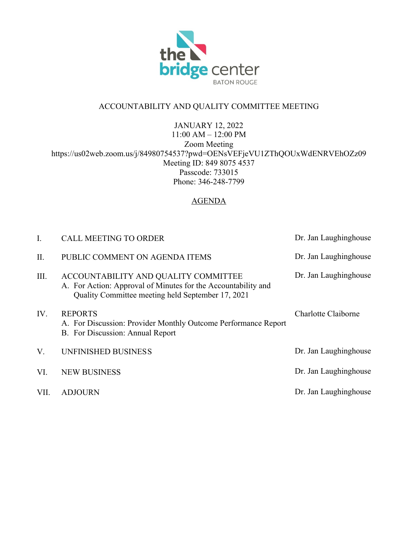

# ACCOUNTABILITY AND QUALITY COMMITTEE MEETING

JANUARY 12, 2022 11:00 AM – 12:00 PM Zoom Meeting https://us02web.zoom.us/j/84980754537?pwd=OENsVEFjeVU1ZThQOUxWdENRVEhOZz09 Meeting ID: 849 8075 4537 Passcode: 733015 Phone: 346-248-7799

## AGENDA

| I.   | <b>CALL MEETING TO ORDER</b>                                                                                                                               | Dr. Jan Laughinghouse |
|------|------------------------------------------------------------------------------------------------------------------------------------------------------------|-----------------------|
| Π.   | PUBLIC COMMENT ON AGENDA ITEMS                                                                                                                             | Dr. Jan Laughinghouse |
| III. | ACCOUNTABILITY AND QUALITY COMMITTEE<br>A. For Action: Approval of Minutes for the Accountability and<br>Quality Committee meeting held September 17, 2021 | Dr. Jan Laughinghouse |
| IV.  | <b>REPORTS</b><br>A. For Discussion: Provider Monthly Outcome Performance Report<br>B. For Discussion: Annual Report                                       | Charlotte Claiborne   |
| V.   | UNFINISHED BUSINESS                                                                                                                                        | Dr. Jan Laughinghouse |
| VI.  | <b>NEW BUSINESS</b>                                                                                                                                        | Dr. Jan Laughinghouse |
| VII. | <b>ADJOURN</b>                                                                                                                                             | Dr. Jan Laughinghouse |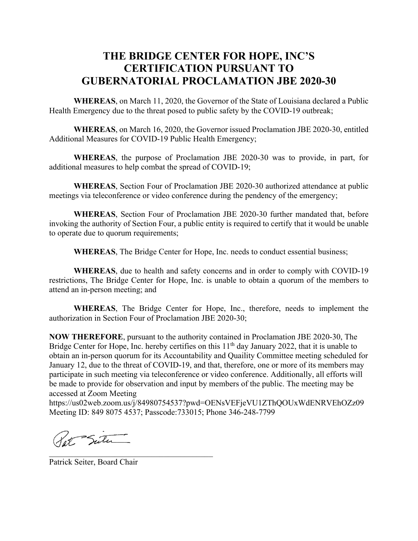# **THE BRIDGE CENTER FOR HOPE, INC'S CERTIFICATION PURSUANT TO GUBERNATORIAL PROCLAMATION JBE 2020-30**

**WHEREAS**, on March 11, 2020, the Governor of the State of Louisiana declared a Public Health Emergency due to the threat posed to public safety by the COVID-19 outbreak;

**WHEREAS**, on March 16, 2020, the Governor issued Proclamation JBE 2020-30, entitled Additional Measures for COVID-19 Public Health Emergency;

**WHEREAS**, the purpose of Proclamation JBE 2020-30 was to provide, in part, for additional measures to help combat the spread of COVID-19;

**WHEREAS**, Section Four of Proclamation JBE 2020-30 authorized attendance at public meetings via teleconference or video conference during the pendency of the emergency;

**WHEREAS**, Section Four of Proclamation JBE 2020-30 further mandated that, before invoking the authority of Section Four, a public entity is required to certify that it would be unable to operate due to quorum requirements;

**WHEREAS**, The Bridge Center for Hope, Inc. needs to conduct essential business;

**WHEREAS**, due to health and safety concerns and in order to comply with COVID-19 restrictions, The Bridge Center for Hope, Inc. is unable to obtain a quorum of the members to attend an in-person meeting; and

**WHEREAS**, The Bridge Center for Hope, Inc., therefore, needs to implement the authorization in Section Four of Proclamation JBE 2020-30;

**NOW THEREFORE**, pursuant to the authority contained in Proclamation JBE 2020-30, The Bridge Center for Hope, Inc. hereby certifies on this 11<sup>th</sup> day January 2022, that it is unable to obtain an in-person quorum for its Accountability and Quaility Committee meeting scheduled for January 12, due to the threat of COVID-19, and that, therefore, one or more of its members may participate in such meeting via teleconference or video conference. Additionally, all efforts will be made to provide for observation and input by members of the public. The meeting may be accessed at Zoom Meeting

https://us02web.zoom.us/j/84980754537?pwd=OENsVEFjeVU1ZThQOUxWdENRVEhOZz09 Meeting ID: 849 8075 4537; Passcode:733015; Phone 346-248-7799

Pat Sutu

Patrick Seiter, Board Chair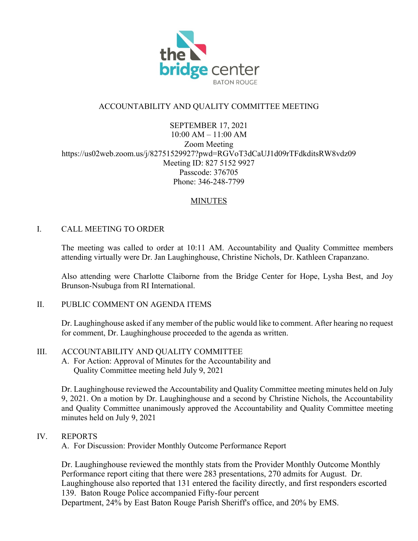

# ACCOUNTABILITY AND QUALITY COMMITTEE MEETING

SEPTEMBER 17, 2021 10:00 AM – 11:00 AM Zoom Meeting https://us02web.zoom.us/j/82751529927?pwd=RGVoT3dCaUJ1d09rTFdkditsRW8vdz09 Meeting ID: 827 5152 9927 Passcode: 376705 Phone: 346-248-7799

## MINUTES

### I. CALL MEETING TO ORDER

The meeting was called to order at 10:11 AM. Accountability and Quality Committee members attending virtually were Dr. Jan Laughinghouse, Christine Nichols, Dr. Kathleen Crapanzano.

Also attending were Charlotte Claiborne from the Bridge Center for Hope, Lysha Best, and Joy Brunson-Nsubuga from RI International.

#### II. PUBLIC COMMENT ON AGENDA ITEMS

Dr. Laughinghouse asked if any member of the public would like to comment. After hearing no request for comment, Dr. Laughinghouse proceeded to the agenda as written.

#### III. ACCOUNTABILITY AND QUALITY COMMITTEE

A. For Action: Approval of Minutes for the Accountability and Quality Committee meeting held July 9, 2021

Dr. Laughinghouse reviewed the Accountability and Quality Committee meeting minutes held on July 9, 2021. On a motion by Dr. Laughinghouse and a second by Christine Nichols, the Accountability and Quality Committee unanimously approved the Accountability and Quality Committee meeting minutes held on July 9, 2021

#### IV. REPORTS

A. For Discussion: Provider Monthly Outcome Performance Report

Dr. Laughinghouse reviewed the monthly stats from the Provider Monthly Outcome Monthly Performance report citing that there were 283 presentations, 270 admits for August. Dr. Laughinghouse also reported that 131 entered the facility directly, and first responders escorted 139. Baton Rouge Police accompanied Fifty-four percent Department, 24% by East Baton Rouge Parish Sheriff's office, and 20% by EMS.